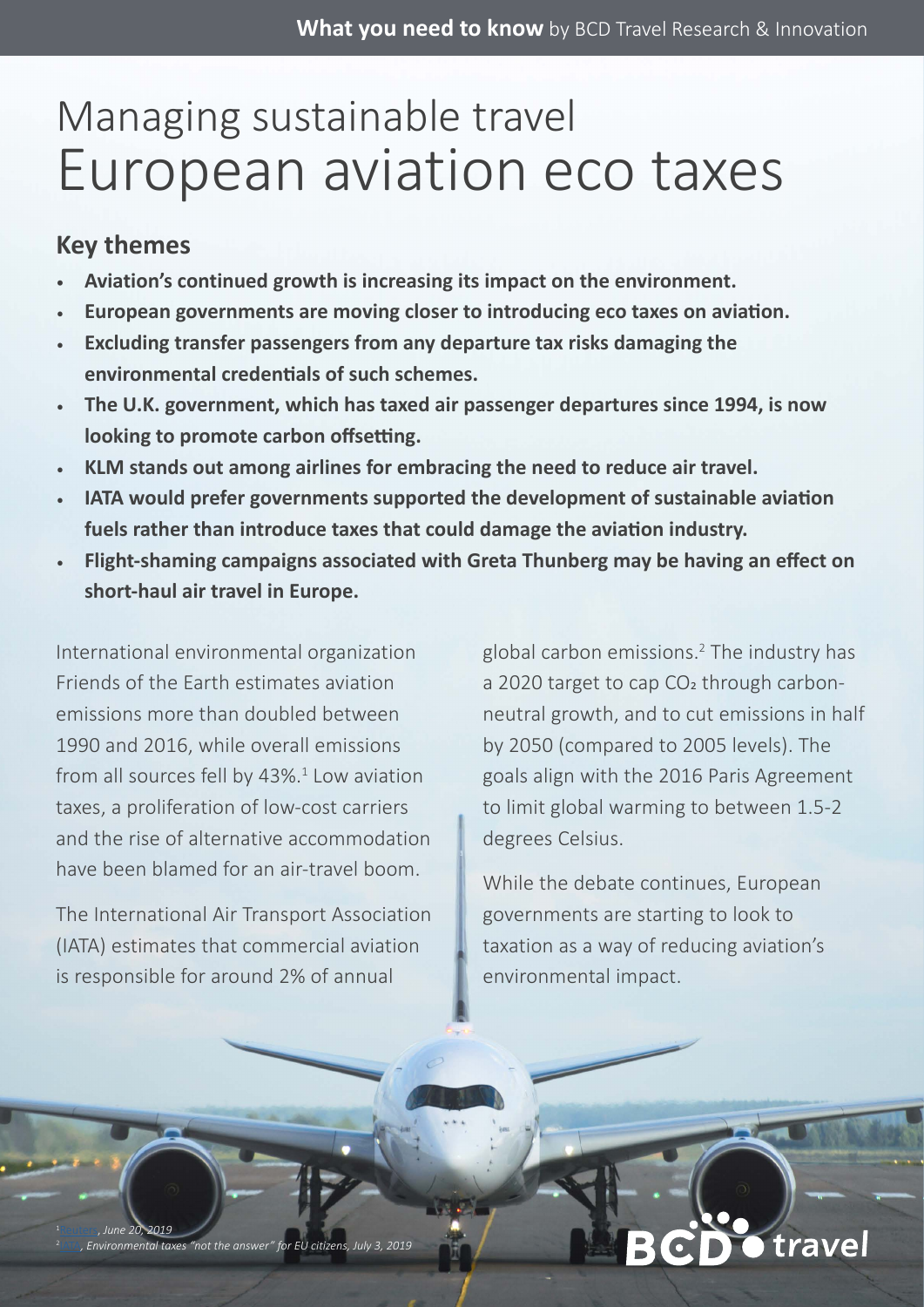## Managing sustainable travel European aviation eco taxes

### **Key themes**

- **• Aviation's continued growth is increasing its impact on the environment.**
- **European governments are moving closer to introducing eco taxes on aviation.**
- **Excluding transfer passengers from any departure tax risks damaging the environmental credentials of such schemes.**
- **The U.K. government, which has taxed air passenger departures since 1994, is now looking to promote carbon offsetting.**
- **KLM stands out among airlines for embracing the need to reduce air travel.**
- **IATA would prefer governments supported the development of sustainable aviation fuels rather than introduce taxes that could damage the aviation industry.**
- **Flight-shaming campaigns associated with Greta Thunberg may be having an effect on short-haul air travel in Europe.**

International environmental organization Friends of the Earth estimates aviation emissions more than doubled between 1990 and 2016, while overall emissions from all sources fell by 43%.<sup>1</sup> Low aviation taxes, a proliferation of low-cost carriers and the rise of alternative accommodation have been blamed for an air-travel boom.

The International Air Transport Association (IATA) estimates that commercial aviation is responsible for around 2% of annual

global carbon emissions.2 The industry has a 2020 target to cap CO<sub>2</sub> through carbonneutral growth, and to cut emissions in half by 2050 (compared to 2005 levels). The goals align with the 2016 Paris Agreement to limit global warming to between 1.5-2 degrees Celsius.

While the debate continues, European governments are starting to look to taxation as a way of reducing aviation's environmental impact.

# travel

[Reuters,](https://www.reuters.com/article/us-climate-change-eu-airlines/eu-nations-aim-high-with-plan-to-tax-air-travel-idUSKCN1TL1I7) *June 20, 2019* . Environmental taxes "not the answer" for EU citizens,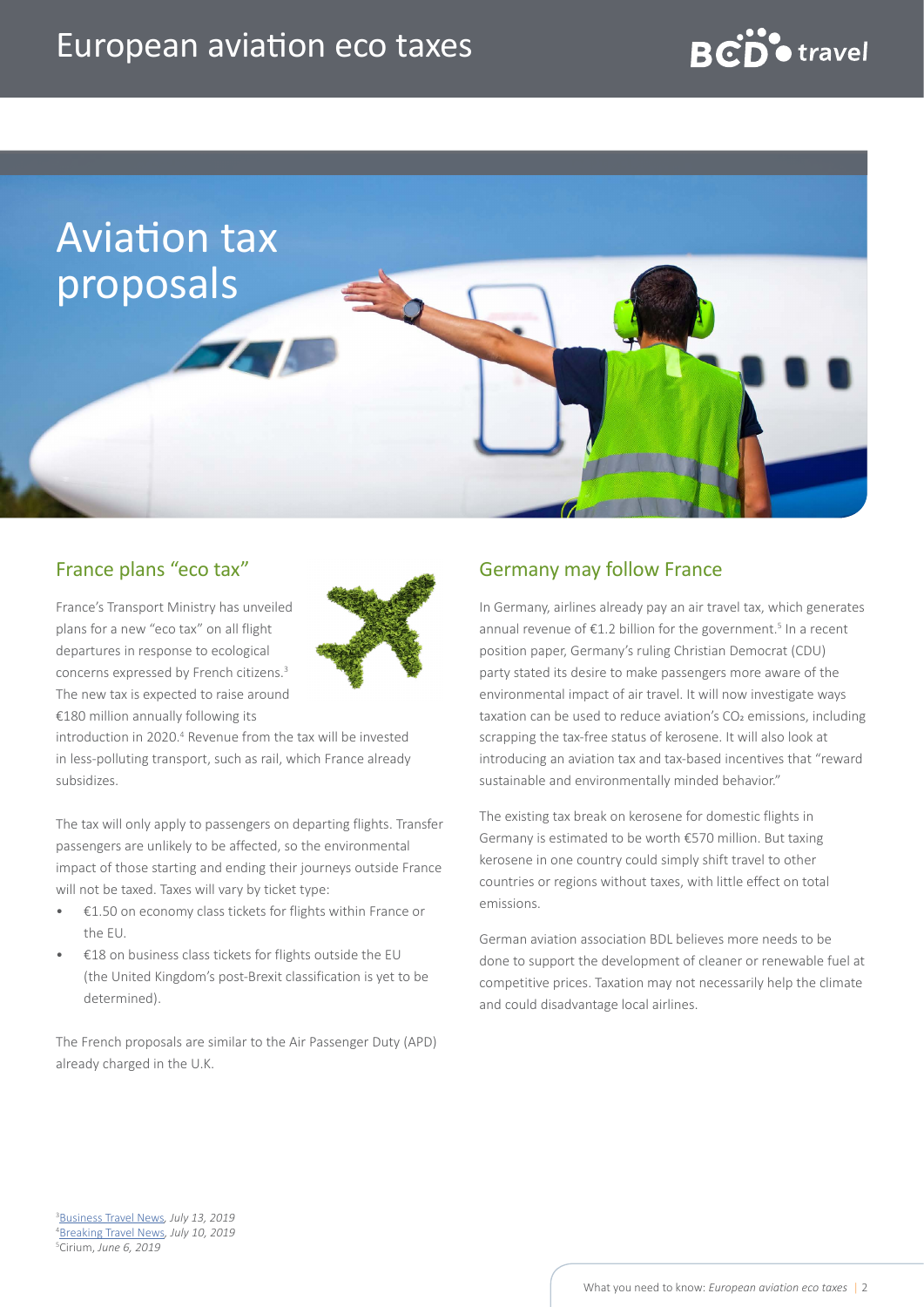### European aviation eco taxes



### France plans "eco tax"

France's Transport Ministry has unveiled plans for a new "eco tax" on all flight departures in response to ecological concerns expressed by French citizens.3 The new tax is expected to raise around €180 million annually following its



introduction in 2020.<sup>4</sup> Revenue from the tax will be invested in less-polluting transport, such as rail, which France already subsidizes.

The tax will only apply to passengers on departing flights. Transfer passengers are unlikely to be affected, so the environmental impact of those starting and ending their journeys outside France will not be taxed. Taxes will vary by ticket type:

- €1.50 on economy class tickets for flights within France or the EU.
- €18 on business class tickets for flights outside the EU (the United Kingdom's post-Brexit classification is yet to be determined).

The French proposals are similar to the Air Passenger Duty (APD) already charged in the U.K.

### Germany may follow France

In Germany, airlines already pay an air travel tax, which generates annual revenue of  $E1.2$  billion for the government.<sup>5</sup> In a recent position paper, Germany's ruling Christian Democrat (CDU) party stated its desire to make passengers more aware of the environmental impact of air travel. It will now investigate ways taxation can be used to reduce aviation's  $CO<sub>2</sub>$  emissions, including scrapping the tax-free status of kerosene. It will also look at introducing an aviation tax and tax-based incentives that "reward sustainable and environmentally minded behavior."

The existing tax break on kerosene for domestic flights in Germany is estimated to be worth €570 million. But taxing kerosene in one country could simply shift travel to other countries or regions without taxes, with little effect on total emissions.

German aviation association BDL believes more needs to be done to support the development of cleaner or renewable fuel at competitive prices. Taxation may not necessarily help the climate and could disadvantage local airlines.

3 [Business Travel News](https://www.businesstravelnews.com/Transportation/Air/France-Plans-Airline-Eco-Tax?utm_source=newsletter&utm_medium=email&utm_campaign=eltrdaily&oly_enc_id=3781J0247756F3H)*, July 13, 2019* 4 [Breaking Travel News](https://www.breakingtravelnews.com/news/article/france-unveils-plans-for-new-180m-aviation-tax/?utm_source=newsletter&utm_medium=email&utm_campaign=newsletter)*, July 10, 2019* 5 Cirium, *June 6, 2019*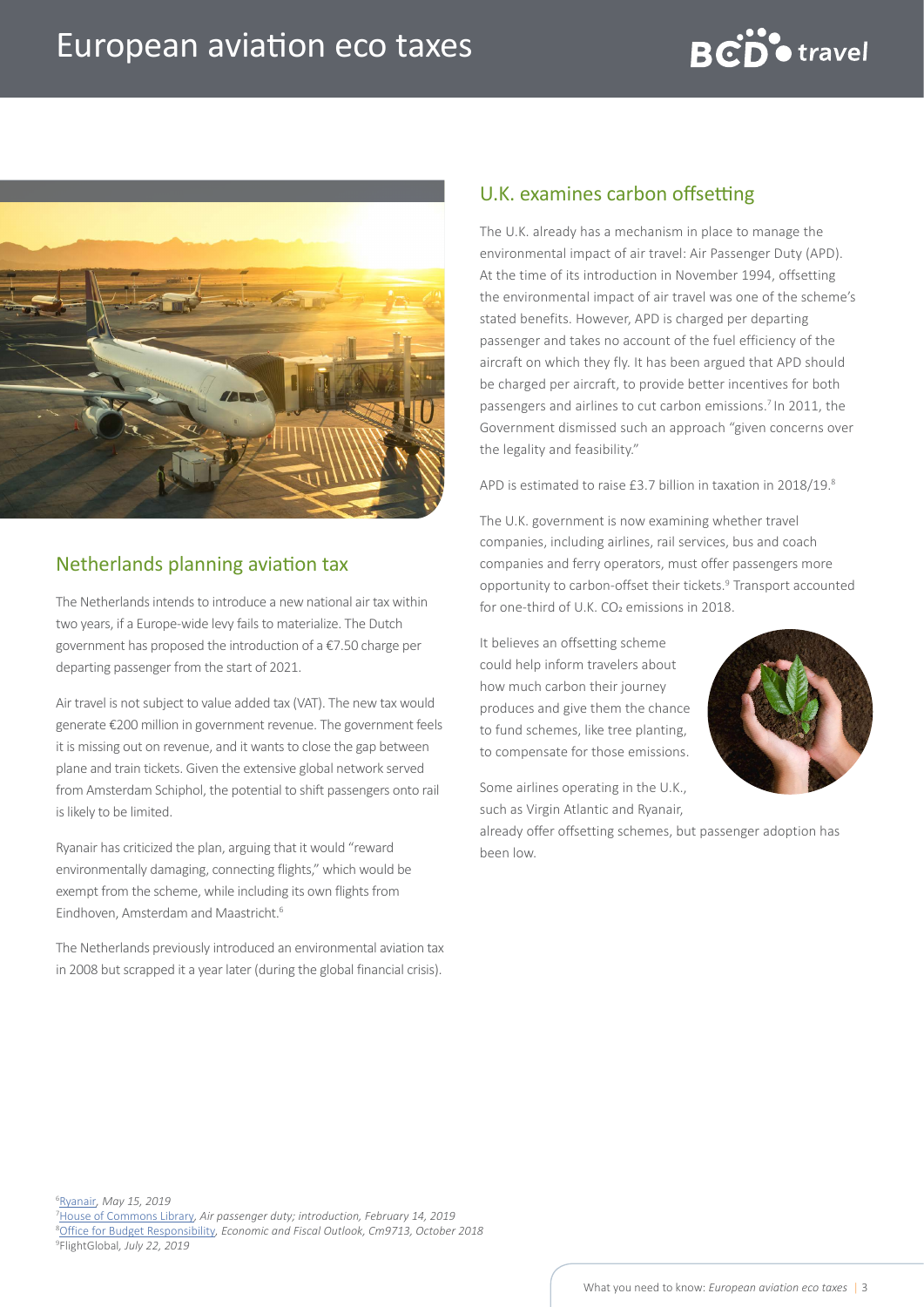



### Netherlands planning aviation tax

The Netherlands intends to introduce a new national air tax within two years, if a Europe-wide levy fails to materialize. The Dutch government has proposed the introduction of a €7.50 charge per departing passenger from the start of 2021.

Air travel is not subject to value added tax (VAT). The new tax would generate €200 million in government revenue. The government feels it is missing out on revenue, and it wants to close the gap between plane and train tickets. Given the extensive global network served from Amsterdam Schiphol, the potential to shift passengers onto rail is likely to be limited.

Ryanair has criticized the plan, arguing that it would "reward environmentally damaging, connecting flights," which would be exempt from the scheme, while including its own flights from Eindhoven, Amsterdam and Maastricht.6

The Netherlands previously introduced an environmental aviation tax in 2008 but scrapped it a year later (during the global financial crisis).

### U.K. examines carbon offsetting

The U.K. already has a mechanism in place to manage the environmental impact of air travel: Air Passenger Duty (APD). At the time of its introduction in November 1994, offsetting the environmental impact of air travel was one of the scheme's stated benefits. However, APD is charged per departing passenger and takes no account of the fuel efficiency of the aircraft on which they fly. It has been argued that APD should be charged per aircraft, to provide better incentives for both passengers and airlines to cut carbon emissions.7 In 2011, the Government dismissed such an approach "given concerns over the legality and feasibility."

APD is estimated to raise £3.7 billion in taxation in 2018/19.8

The U.K. government is now examining whether travel companies, including airlines, rail services, bus and coach companies and ferry operators, must offer passengers more opportunity to carbon-offset their tickets.<sup>9</sup> Transport accounted for one-third of U.K. CO<sub>2</sub> emissions in 2018.

It believes an offsetting scheme could help inform travelers about how much carbon their journey produces and give them the chance to fund schemes, like tree planting, to compensate for those emissions.

Some airlines operating in the U.K., such as Virgin Atlantic and Ryanair,

already offer offsetting schemes, but passenger adoption has been low.

6 [Ryanair](https://corporate.ryanair.com/news/europes-greenest-airline-condemns-proposed-dutch-aviation-tax-which-rewards-polluters-and-penalises-green-flying/)*, May 15, 2019*

7 [House of Commons Library](https://researchbriefings.parliament.uk/ResearchBriefing/Summary/SN00413#fullreport)*, Air passenger duty; introduction, February 14, 2019* 8 [Office for Budget Responsibility](https://cdn.obr.uk/EFO_October-2018.pdf#page=113)*, Economic and Fiscal Outlook, Cm9713, October 2018* 9 FlightGlobal*, July 22, 2019*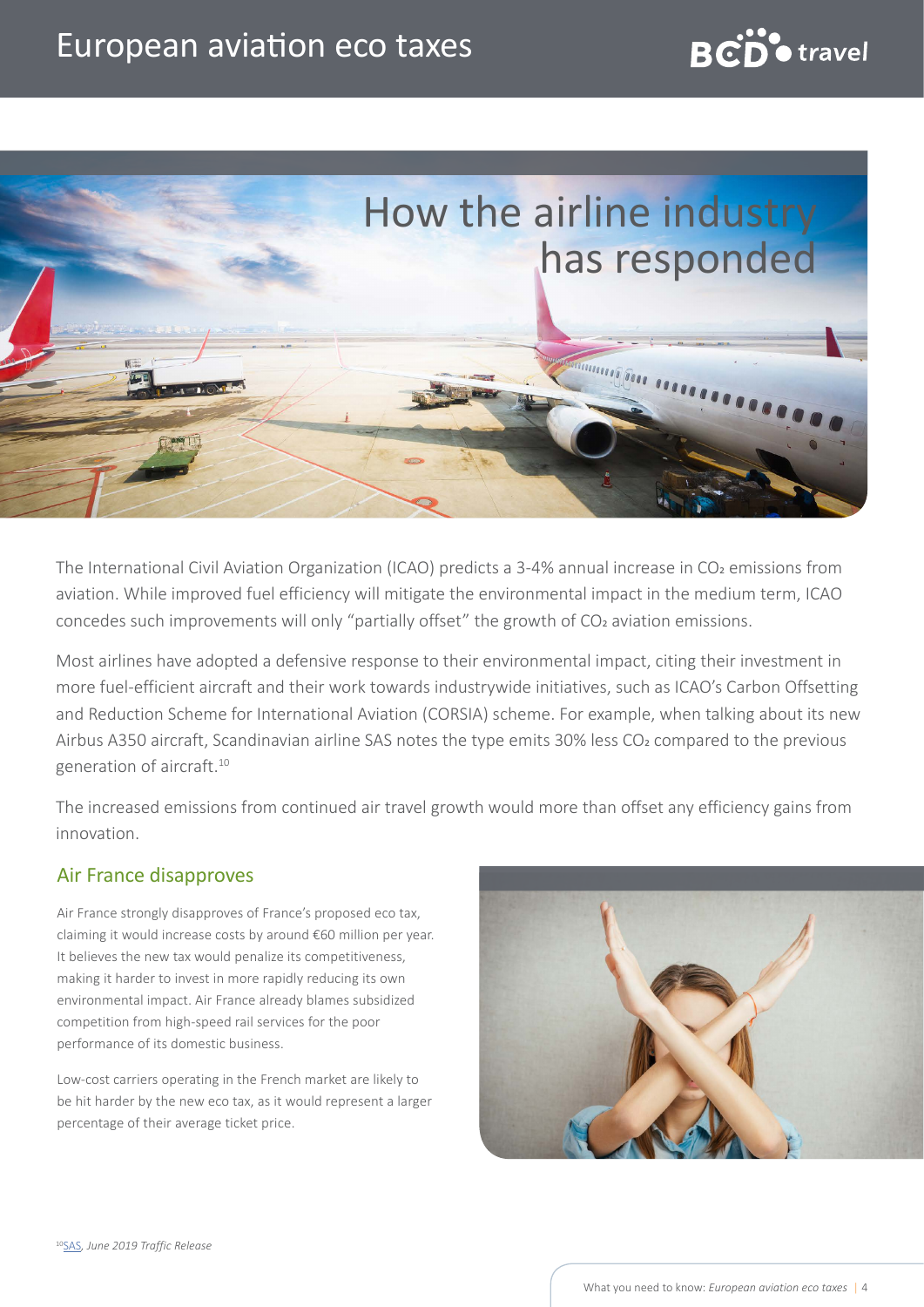### European aviation eco taxes





The International Civil Aviation Organization (ICAO) predicts a 3-4% annual increase in CO<sub>2</sub> emissions from aviation. While improved fuel efficiency will mitigate the environmental impact in the medium term, ICAO concedes such improvements will only "partially offset" the growth of CO<sub>2</sub> aviation emissions.

Most airlines have adopted a defensive response to their environmental impact, citing their investment in more fuel-efficient aircraft and their work towards industrywide initiatives, such as ICAO's Carbon Offsetting and Reduction Scheme for International Aviation (CORSIA) scheme. For example, when talking about its new Airbus A350 aircraft, Scandinavian airline SAS notes the type emits 30% less CO<sub>2</sub> compared to the previous generation of aircraft.<sup>10</sup>

The increased emissions from continued air travel growth would more than offset any efficiency gains from innovation.

#### Air France disapproves

Air France strongly disapproves of France's proposed eco tax, claiming it would increase costs by around €60 million per year. It believes the new tax would penalize its competitiveness, making it harder to invest in more rapidly reducing its own environmental impact. Air France already blames subsidized competition from high-speed rail services for the poor performance of its domestic business.

Low-cost carriers operating in the French market are likely to be hit harder by the new eco tax, as it would represent a larger percentage of their average ticket price.

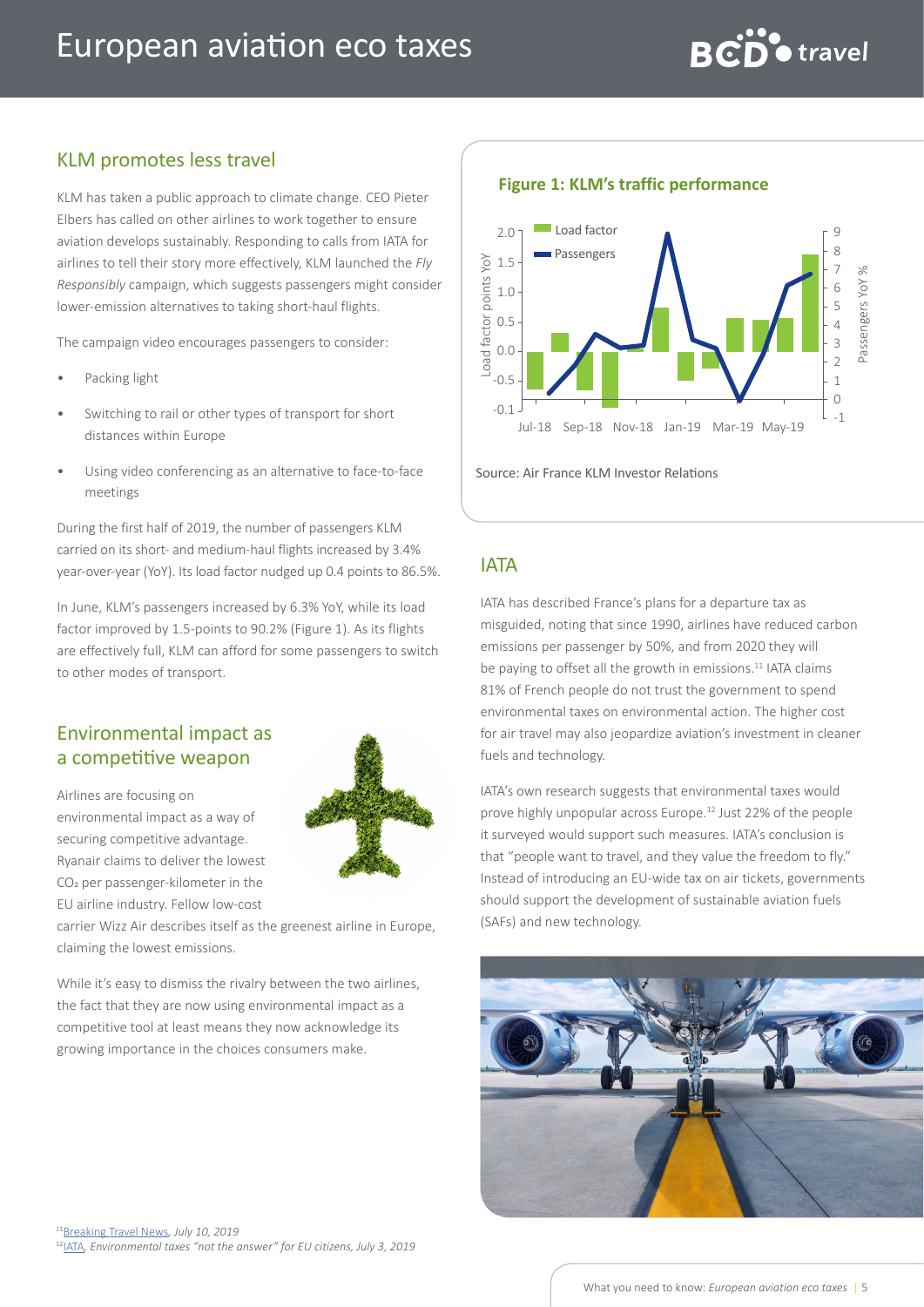

### KLM promotes less travel

KLM has taken a public approach to climate change. CEO Pieter Elbers has called on other airlines to work together to ensure aviation develops sustainably. Responding to calls from IATA for airlines to tell their story more effectively, KLM launched the *Fly Responsibly* campaign, which suggests passengers might consider lower-emission alternatives to taking short-haul flights.

The campaign video encourages passengers to consider:

- Packing light
- Switching to rail or other types of transport for short distances within Europe
- Using video conferencing as an alternative to face-to-face meetings

During the first half of 2019, the number of passengers KLM carried on its short- and medium-haul flights increased by 3.4% year-over-year (YoY). Its load factor nudged up 0.4 points to 86.5%.

In June, KLM's passengers increased by 6.3% YoY, while its load factor improved by 1.5-points to 90.2% (Figure 1). As its flights are effectively full, KLM can afford for some passengers to switch to other modes of transport.

### Environmental impact as a competitive weapon

Airlines are focusing on environmental impact as a way of securing competitive advantage. Ryanair claims to deliver the lowest CO2 per passenger-kilometer in the EU airline industry. Fellow low-cost



carrier Wizz Air describes itself as the greenest airline in Europe, claiming the lowest emissions.

While it's easy to dismiss the rivalry between the two airlines. the fact that they are now using environmental impact as a competitive tool at least means they now acknowledge its growing importance in the choices consumers make.



Source: Air France KLM Investor Relations

#### IATA

IATA has described France's plans for a departure tax as misguided, noting that since 1990, airlines have reduced carbon emissions per passenger by 50%, and from 2020 they will be paying to offset all the growth in emissions.<sup>11</sup> IATA claims 81% of French people do not trust the government to spend environmental taxes on environmental action. The higher cost for air travel may also jeopardize aviation's investment in cleaner fuels and technology.

IATA's own research suggests that environmental taxes would prove highly unpopular across Europe.12 Just 22% of the people it surveyed would support such measures. IATA's conclusion is that "people want to travel, and they value the freedom to fly." Instead of introducing an EU-wide tax on air tickets, governments should support the development of sustainable aviation fuels (SAFs) and new technology.